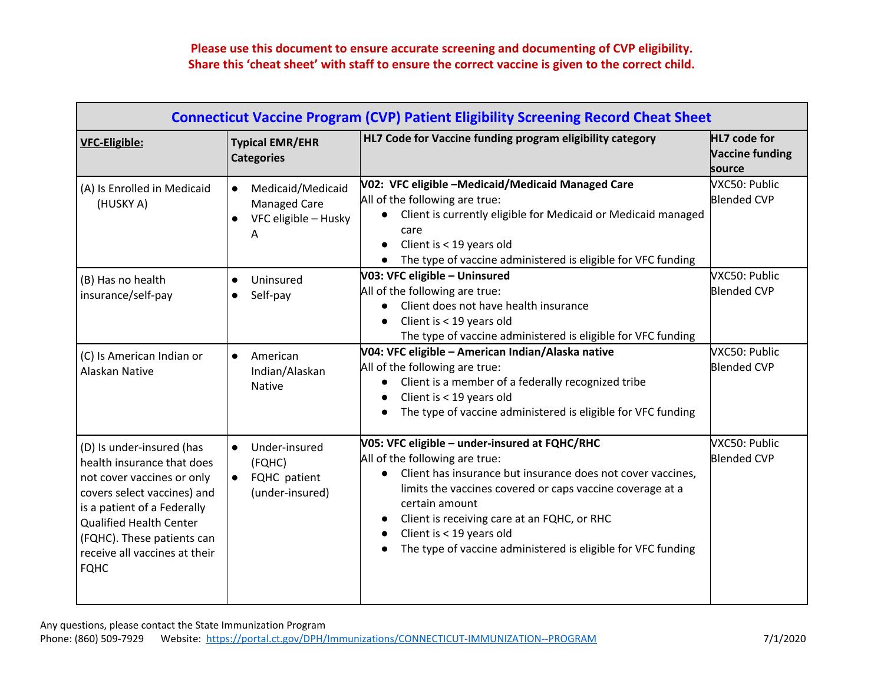## **Please use this document to ensure accurate screening and documenting of CVP eligibility. Share this 'cheat sheet' with staff to ensure the correct vaccine is given to the correct child.**

| <b>VFC-Eligible:</b>                                                                                                                                                                                                                                                | <b>Typical EMR/EHR</b><br><b>Categories</b>                                                     | HL7 Code for Vaccine funding program eligibility category                                                                                                                                                                                                                                                                                                                                          | HL7 code for<br><b>Vaccine funding</b><br>source |
|---------------------------------------------------------------------------------------------------------------------------------------------------------------------------------------------------------------------------------------------------------------------|-------------------------------------------------------------------------------------------------|----------------------------------------------------------------------------------------------------------------------------------------------------------------------------------------------------------------------------------------------------------------------------------------------------------------------------------------------------------------------------------------------------|--------------------------------------------------|
| (A) Is Enrolled in Medicaid<br>(HUSKY A)                                                                                                                                                                                                                            | Medicaid/Medicaid<br>$\bullet$<br><b>Managed Care</b><br>VFC eligible - Husky<br>$\bullet$<br>A | V02: VFC eligible -Medicaid/Medicaid Managed Care<br>All of the following are true:<br>Client is currently eligible for Medicaid or Medicaid managed<br>care<br>Client is < 19 years old<br>The type of vaccine administered is eligible for VFC funding                                                                                                                                           | VXC50: Public<br><b>Blended CVP</b>              |
| (B) Has no health<br>insurance/self-pay                                                                                                                                                                                                                             | Uninsured<br>$\bullet$<br>Self-pay<br>$\bullet$                                                 | V03: VFC eligible - Uninsured<br>All of the following are true:<br>Client does not have health insurance<br>Client is < 19 years old<br>$\bullet$<br>The type of vaccine administered is eligible for VFC funding                                                                                                                                                                                  | VXC50: Public<br><b>Blended CVP</b>              |
| (C) Is American Indian or<br>Alaskan Native                                                                                                                                                                                                                         | American<br>$\bullet$<br>Indian/Alaskan<br><b>Native</b>                                        | V04: VFC eligible - American Indian/Alaska native<br>All of the following are true:<br>Client is a member of a federally recognized tribe<br>$\bullet$<br>Client is < 19 years old<br>$\bullet$<br>The type of vaccine administered is eligible for VFC funding                                                                                                                                    | VXC50: Public<br><b>Blended CVP</b>              |
| (D) Is under-insured (has<br>health insurance that does<br>not cover vaccines or only<br>covers select vaccines) and<br>is a patient of a Federally<br><b>Qualified Health Center</b><br>(FQHC). These patients can<br>receive all vaccines at their<br><b>FQHC</b> | Under-insured<br>$\bullet$<br>(FQHC)<br>FQHC patient<br>$\bullet$<br>(under-insured)            | V05: VFC eligible - under-insured at FQHC/RHC<br>All of the following are true:<br>Client has insurance but insurance does not cover vaccines,<br>limits the vaccines covered or caps vaccine coverage at a<br>certain amount<br>Client is receiving care at an FQHC, or RHC<br>$\bullet$<br>Client is < 19 years old<br>$\bullet$<br>The type of vaccine administered is eligible for VFC funding | VXC50: Public<br><b>Blended CVP</b>              |